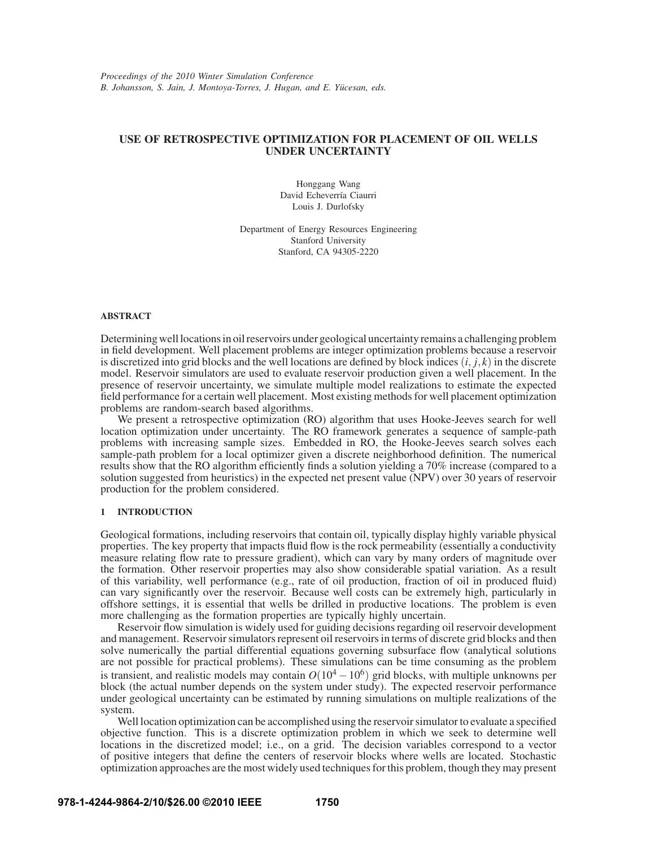# **USE OF RETROSPECTIVE OPTIMIZATION FOR PLACEMENT OF OIL WELLS UNDER UNCERTAINTY**

Honggang Wang David Echeverría Ciaurri Louis J. Durlofsky

Department of Energy Resources Engineering Stanford University Stanford, CA 94305-2220

### **ABSTRACT**

Determining well locations in oil reservoirs under geological uncertainty remains a challenging problem in field development. Well placement problems are integer optimization problems because a reservoir is discretized into grid blocks and the well locations are defined by block indices  $(i, j, k)$  in the discrete model. Reservoir simulators are used to evaluate reservoir production given a well placement. In the presence of reservoir uncertainty, we simulate multiple model realizations to estimate the expected field performance for a certain well placement. Most existing methods for well placement optimization problems are random-search based algorithms.

We present a retrospective optimization (RO) algorithm that uses Hooke-Jeeves search for well location optimization under uncertainty. The RO framework generates a sequence of sample-path problems with increasing sample sizes. Embedded in RO, the Hooke-Jeeves search solves each sample-path problem for a local optimizer given a discrete neighborhood definition. The numerical results show that the RO algorithm efficiently finds a solution yielding a 70% increase (compared to a solution suggested from heuristics) in the expected net present value (NPV) over 30 years of reservoir production for the problem considered.

# **1 INTRODUCTION**

Geological formations, including reservoirs that contain oil, typically display highly variable physical properties. The key property that impacts fluid flow is the rock permeability (essentially a conductivity measure relating flow rate to pressure gradient), which can vary by many orders of magnitude over the formation. Other reservoir properties may also show considerable spatial variation. As a result of this variability, well performance (e.g., rate of oil production, fraction of oil in produced fluid) can vary significantly over the reservoir. Because well costs can be extremely high, particularly in offshore settings, it is essential that wells be drilled in productive locations. The problem is even more challenging as the formation properties are typically highly uncertain.

Reservoir flow simulation is widely used for guiding decisions regarding oil reservoir development and management. Reservoir simulators represent oil reservoirs in terms of discrete grid blocks and then solve numerically the partial differential equations governing subsurface flow (analytical solutions are not possible for practical problems). These simulations can be time consuming as the problem is transient, and realistic models may contain  $O(10^4 - 10^6)$  grid blocks, with multiple unknowns per block (the actual number depends on the system under study). The expected reservoir performance under geological uncertainty can be estimated by running simulations on multiple realizations of the system.

Well location optimization can be accomplished using the reservoir simulator to evaluate a specified objective function. This is a discrete optimization problem in which we seek to determine well locations in the discretized model; i.e., on a grid. The decision variables correspond to a vector of positive integers that define the centers of reservoir blocks where wells are located. Stochastic optimization approaches are the most widely used techniques for this problem, though they may present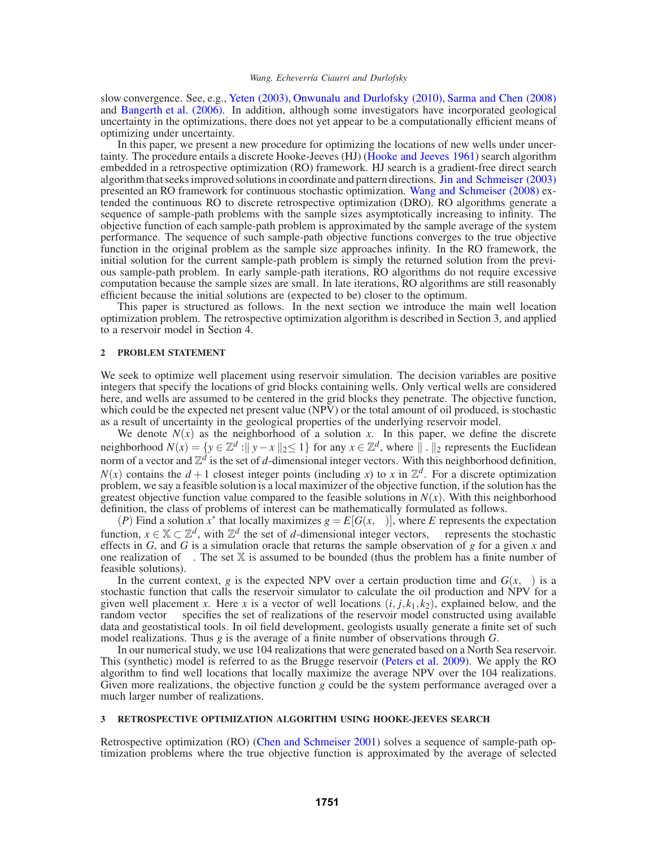slow convergence. See, e.g., Yeten (2003), Onwunalu and Durlofsky (2010), Sarma and Chen (2008) and Bangerth et al. (2006). In addition, although some investigators have incorporated geological uncertainty in the optimizations, there does not yet appear to be a computationally efficient means of optimizing under uncertainty.

In this paper, we present a new procedure for optimizing the locations of new wells under uncertainty. The procedure entails a discrete Hooke-Jeeves (HJ) (Hooke and Jeeves 1961) search algorithm embedded in a retrospective optimization (RO) framework. HJ search is a gradient-free direct search algorithm that seeks improved solutions in coordinate and pattern directions. Jin and Schmeiser (2003) presented an RO framework for continuous stochastic optimization. Wang and Schmeiser (2008) extended the continuous RO to discrete retrospective optimization (DRO). RO algorithms generate a sequence of sample-path problems with the sample sizes asymptotically increasing to infinity. The objective function of each sample-path problem is approximated by the sample average of the system performance. The sequence of such sample-path objective functions converges to the true objective function in the original problem as the sample size approaches infinity. In the RO framework, the initial solution for the current sample-path problem is simply the returned solution from the previous sample-path problem. In early sample-path iterations, RO algorithms do not require excessive computation because the sample sizes are small. In late iterations, RO algorithms are still reasonably efficient because the initial solutions are (expected to be) closer to the optimum.

This paper is structured as follows. In the next section we introduce the main well location optimization problem. The retrospective optimization algorithm is described in Section 3, and applied to a reservoir model in Section 4.

### **2 PROBLEM STATEMENT**

We seek to optimize well placement using reservoir simulation. The decision variables are positive integers that specify the locations of grid blocks containing wells. Only vertical wells are considered here, and wells are assumed to be centered in the grid blocks they penetrate. The objective function, which could be the expected net present value (NPV) or the total amount of oil produced, is stochastic as a result of uncertainty in the geological properties of the underlying reservoir model.

We denote  $N(x)$  as the neighborhood of a solution *x*. In this paper, we define the discrete neighborhood  $N(x) = \{y \in \mathbb{Z}^d : ||y - x||_2 \le 1\}$  for any  $x \in \mathbb{Z}^d$ , where  $|| \cdot ||_2$  represents the Euclidean norm of a vector and  $\mathbb{Z}^d$  is the set of *d*-dimensional integer vectors. With this neighborhood definition,  $N(x)$  contains the  $d+1$  closest integer points (including *x*) to *x* in  $\mathbb{Z}^d$ . For a discrete optimization problem, we say a feasible solution is a local maximizer of the objective function, if the solution has the greatest objective function value compared to the feasible solutions in  $N(x)$ . With this neighborhood definition, the class of problems of interest can be mathematically formulated as follows.

(*P*) Find a solution  $x^*$  that locally maximizes  $g = E[G(x, \omega)]$ , where *E* represents the expectation function,  $x \in \mathbb{X} \subset \mathbb{Z}^d$ , with  $\mathbb{Z}^d$  the set of *d*-dimensional integer vectors,  $\omega$  represents the stochastic effects in *G*, and *G* is a simulation oracle that returns the sample observation of *g* for a given *x* and one realization of  $\omega$ . The set X is assumed to be bounded (thus the problem has a finite number of feasible solutions).

In the current context, *g* is the expected NPV over a certain production time and  $G(x, \omega)$  is a stochastic function that calls the reservoir simulator to calculate the oil production and NPV for a given well placement x. Here x is a vector of well locations  $(i, j, k_1, k_2)$ , explained below, and the random vector  $\omega$  specifies the set of realizations of the reservoir model constructed using available data and geostatistical tools. In oil field development, geologists usually generate a finite set of such model realizations. Thus *g* is the average of a finite number of observations through *G*.

In our numerical study, we use 104 realizations that were generated based on a North Sea reservoir. This (synthetic) model is referred to as the Brugge reservoir (Peters et al. 2009). We apply the RO algorithm to find well locations that locally maximize the average NPV over the 104 realizations. Given more realizations, the objective function *g* could be the system performance averaged over a much larger number of realizations.

## **3 RETROSPECTIVE OPTIMIZATION ALGORITHM USING HOOKE-JEEVES SEARCH**

Retrospective optimization (RO) (Chen and Schmeiser 2001) solves a sequence of sample-path optimization problems where the true objective function is approximated by the average of selected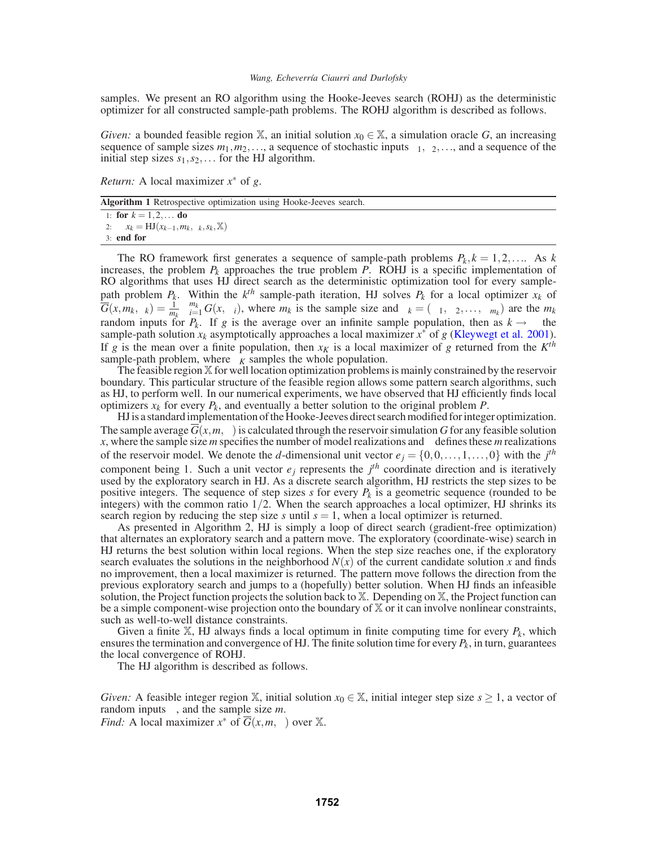samples. We present an RO algorithm using the Hooke-Jeeves search (ROHJ) as the deterministic optimizer for all constructed sample-path problems. The ROHJ algorithm is described as follows.

*Given:* a bounded feasible region X, an initial solution  $x_0 \in X$ , a simulation oracle *G*, an increasing sequence of sample sizes  $m_1, m_2, \ldots$ , a sequence of stochastic inputs  $\xi_1, \xi_2, \ldots$ , and a sequence of the initial step sizes  $s_1, s_2, \ldots$  for the HJ algorithm.

*Return:* A local maximizer *x*<sup>∗</sup> of *g*.

|  |  |  | Algorithm 1 Retrospective optimization using Hooke-Jeeves search. |
|--|--|--|-------------------------------------------------------------------|
|  |  |  |                                                                   |

1: **for**  $k = 1, 2, ...$  **do** 2:  $x_k = HJ(x_{k-1}, m_k, \xi_k, s_k, \mathbb{X})$ 3: **end for**

The RO framework first generates a sequence of sample-path problems  $P_k$ ,  $k = 1, 2, \ldots$  As  $k$ increases, the problem  $P_k$  approaches the true problem  $P$ . ROHJ is a specific implementation of RO algorithms that uses HJ direct search as the deterministic optimization tool for every samplepath problem  $P_k$ . Within the  $k^{th}$  sample-path iteration, HJ solves  $P_k$  for a local optimizer  $x_k$  of  $\overline{G}(x, m_k, \xi_k) = \frac{1}{m_k} \sum_{i=1}^{m_k} G(x, \omega_i)$ , where  $m_k$  is the sample size and  $\xi_k = (\omega_1, \omega_2, \dots, \omega_{m_k})$  are the  $m_k$ random inputs for  $P_k$ . If *g* is the average over an infinite sample population, then as  $k \to \infty$  the sample-path solution  $x_k$  asymptotically approaches a local maximizer  $x^*$  of  $g$  (Kleywegt et al. 2001). If *g* is the mean over a finite population, then  $x_K$  is a local maximizer of *g* returned from the  $K^{th}$ sample-path problem, where  $\xi_K$  samples the whole population.

The feasible region X for well location optimization problems is mainly constrained by the reservoir boundary. This particular structure of the feasible region allows some pattern search algorithms, such as HJ, to perform well. In our numerical experiments, we have observed that HJ efficiently finds local optimizers  $x_k$  for every  $P_k$ , and eventually a better solution to the original problem  $P$ .

HJ is a standard implementation of the Hooke-Jeeves direct search modified for integer optimization. The sample average  $\overline{G}(x, m, \xi)$  is calculated through the reservoir simulation *G* for any feasible solution *x*, where the sample size *m* specifies the number of model realizations and  $\xi$  defines these *m* realizations of the reservoir model. We denote the *d*-dimensional unit vector  $e_j = \{0, 0, \ldots, 1, \ldots, 0\}$  with the  $j^{th}$ component being 1. Such a unit vector  $e_j$  represents the  $j<sup>th</sup>$  coordinate direction and is iteratively used by the exploratory search in HJ. As a discrete search algorithm, HJ restricts the step sizes to be positive integers. The sequence of step sizes *s* for every  $P_k$  is a geometric sequence (rounded to be integers) with the common ratio  $1/2$ . When the search approaches a local optimizer, HJ shrinks its search region by reducing the step size  $s$  until  $s = 1$ , when a local optimizer is returned.

As presented in Algorithm 2, HJ is simply a loop of direct search (gradient-free optimization) that alternates an exploratory search and a pattern move. The exploratory (coordinate-wise) search in HJ returns the best solution within local regions. When the step size reaches one, if the exploratory search evaluates the solutions in the neighborhood  $N(x)$  of the current candidate solution x and finds no improvement, then a local maximizer is returned. The pattern move follows the direction from the previous exploratory search and jumps to a (hopefully) better solution. When HJ finds an infeasible solution, the Project function projects the solution back to X. Depending on X, the Project function can be a simple component-wise projection onto the boundary of  $X$  or it can involve nonlinear constraints, such as well-to-well distance constraints.

Given a finite  $\mathbb{X}$ , HJ always finds a local optimum in finite computing time for every  $P_k$ , which ensures the termination and convergence of HJ. The finite solution time for every  $P_k$ , in turn, guarantees the local convergence of ROHJ.

The HJ algorithm is described as follows.

*Given:* A feasible integer region X, initial solution  $x_0 \in X$ , initial integer step size  $s \ge 1$ , a vector of random inputs  $\xi$ , and the sample size *m*.

*Find:* A local maximizer  $x^*$  of  $\overline{G}(x, m, \xi)$  over X.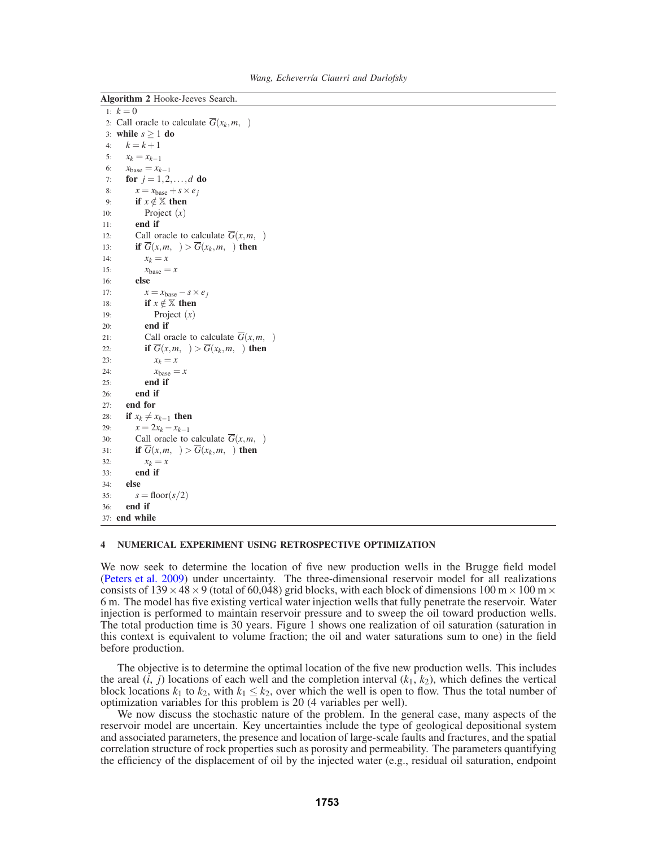*Wang, Echeverría Ciaurri and Durlofsky* 

| <b>Algorithm 2</b> Hooke-Jeeves Search.                              |  |  |  |  |  |  |
|----------------------------------------------------------------------|--|--|--|--|--|--|
| 1:<br>$k=0$                                                          |  |  |  |  |  |  |
| Call oracle to calculate $\overline{G}(x_k, m, \xi)$<br>2:           |  |  |  |  |  |  |
| while $s \geq 1$ do<br>3:                                            |  |  |  |  |  |  |
| $k = k + 1$<br>4:                                                    |  |  |  |  |  |  |
| 5:<br>$x_k = x_{k-1}$                                                |  |  |  |  |  |  |
| 6:<br>$x_{base} = x_{k-1}$                                           |  |  |  |  |  |  |
| <b>for</b> $j = 1, 2, , d$ <b>do</b><br>7:                           |  |  |  |  |  |  |
| $x = x_{base} + s \times e_i$<br>8:                                  |  |  |  |  |  |  |
| if $x \notin \mathbb{X}$ then<br>9:                                  |  |  |  |  |  |  |
| Project $(x)$<br>10:                                                 |  |  |  |  |  |  |
| end if<br>11:                                                        |  |  |  |  |  |  |
| Call oracle to calculate $G(x, m, \xi)$<br>12:                       |  |  |  |  |  |  |
| if $\overline{G}(x,m,\xi) > \overline{G}(x_k,m,\xi)$ then<br>13:     |  |  |  |  |  |  |
| $x_k = x$<br>14:                                                     |  |  |  |  |  |  |
| 15:<br>$x_{base} = x$                                                |  |  |  |  |  |  |
| else<br>16:                                                          |  |  |  |  |  |  |
| 17:<br>$x = x_{base} - s \times e_i$                                 |  |  |  |  |  |  |
| if $x \notin \mathbb{X}$ then<br>18:                                 |  |  |  |  |  |  |
| Project $(x)$<br>19:                                                 |  |  |  |  |  |  |
| end if<br>20:                                                        |  |  |  |  |  |  |
| Call oracle to calculate $\overline{G}(x, m, \xi)$<br>21:            |  |  |  |  |  |  |
| if $\overline{G}(x,m,\xi) > \overline{G}(x_k,m,\xi)$ then<br>22:     |  |  |  |  |  |  |
| 23:<br>$x_k = x$                                                     |  |  |  |  |  |  |
| 24:<br>$x_{base} = x$                                                |  |  |  |  |  |  |
| end if<br>25:                                                        |  |  |  |  |  |  |
| end if<br>26:                                                        |  |  |  |  |  |  |
| end for<br>27:                                                       |  |  |  |  |  |  |
| if $x_k \neq x_{k-1}$ then<br>28:                                    |  |  |  |  |  |  |
| $x = 2x_k - x_{k-1}$<br>29:                                          |  |  |  |  |  |  |
| Call oracle to calculate $\overline{G}(x, m, \xi)$<br>30:            |  |  |  |  |  |  |
| if $\overline{G}(x, m, \xi) > \overline{G}(x_k, m, \xi)$ then<br>31: |  |  |  |  |  |  |
| 32:<br>$x_k = x$                                                     |  |  |  |  |  |  |
| end if<br>33:                                                        |  |  |  |  |  |  |
| else<br>34:                                                          |  |  |  |  |  |  |
| $s = floor(s/2)$<br>35:                                              |  |  |  |  |  |  |
| end if<br>36:                                                        |  |  |  |  |  |  |
| end while<br>37:                                                     |  |  |  |  |  |  |

### **4 NUMERICAL EXPERIMENT USING RETROSPECTIVE OPTIMIZATION**

We now seek to determine the location of five new production wells in the Brugge field model (Peters et al. 2009) under uncertainty. The three-dimensional reservoir model for all realizations consists of  $139 \times 48 \times 9$  (total of 60,048) grid blocks, with each block of dimensions 100 m  $\times$  100 m  $\times$ 6 m. The model has five existing vertical water injection wells that fully penetrate the reservoir. Water injection is performed to maintain reservoir pressure and to sweep the oil toward production wells. The total production time is 30 years. Figure 1 shows one realization of oil saturation (saturation in this context is equivalent to volume fraction; the oil and water saturations sum to one) in the field before production.

The objective is to determine the optimal location of the five new production wells. This includes the areal  $(i, j)$  locations of each well and the completion interval  $(k_1, k_2)$ , which defines the vertical block locations  $k_1$  to  $k_2$ , with  $k_1 \leq k_2$ , over which the well is open to flow. Thus the total number of optimization variables for this problem is 20 (4 variables per well).

We now discuss the stochastic nature of the problem. In the general case, many aspects of the reservoir model are uncertain. Key uncertainties include the type of geological depositional system and associated parameters, the presence and location of large-scale faults and fractures, and the spatial correlation structure of rock properties such as porosity and permeability. The parameters quantifying the efficiency of the displacement of oil by the injected water (e.g., residual oil saturation, endpoint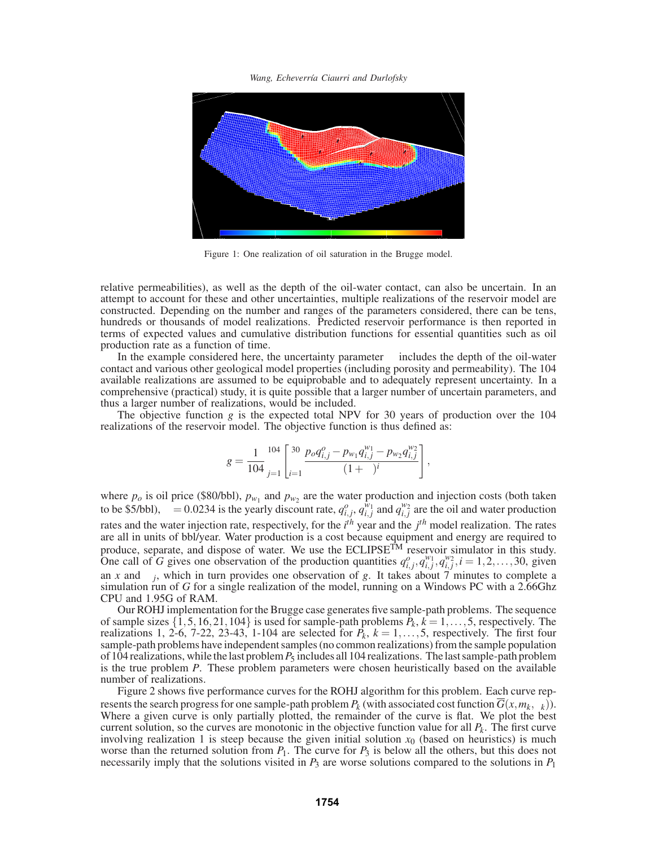*Wang, Echeverr´ıa Ciaurri and Durlofsky*



Figure 1: One realization of oil saturation in the Brugge model.

relative permeabilities), as well as the depth of the oil-water contact, can also be uncertain. In an attempt to account for these and other uncertainties, multiple realizations of the reservoir model are constructed. Depending on the number and ranges of the parameters considered, there can be tens, hundreds or thousands of model realizations. Predicted reservoir performance is then reported in terms of expected values and cumulative distribution functions for essential quantities such as oil production rate as a function of time.

In the example considered here, the uncertainty parameter  $\omega$  includes the depth of the oil-water contact and various other geological model properties (including porosity and permeability). The 104 available realizations are assumed to be equiprobable and to adequately represent uncertainty. In a comprehensive (practical) study, it is quite possible that a larger number of uncertain parameters, and thus a larger number of realizations, would be included.

The objective function *g* is the expected total NPV for 30 years of production over the 104 realizations of the reservoir model. The objective function is thus defined as:

$$
g = \frac{1}{104} \sum_{j=1}^{104} \left[ \sum_{i=1}^{30} \frac{p_o q_{i,j}^o - p_{w_1} q_{i,j}^{w_1} - p_{w_2} q_{i,j}^{w_2}}{(1+\lambda)^i} \right],
$$

where  $p_o$  is oil price (\$80/bbl),  $p_{w_1}$  and  $p_{w_2}$  are the water production and injection costs (both taken to be \$5/bbl),  $\lambda = 0.0234$  is the yearly discount rate,  $q_{i,j}^o$ ,  $q_{i,j}^{w_1}$  and  $q_{i,j}^{w_2}$  are the oil and water production rates and the water injection rate, respectively, for the *i th* year and the *j th* model realization. The rates are all in units of bbl/year. Water production is a cost because equipment and energy are required to produce, separate, and dispose of water. We use the ECLIPSE<sup>TM</sup> reservoir simulator in this study. One call of *G* gives one observation of the production quantities  $q_{i,j}^o, q_{i,j}^{w_1}, q_{i,j}^{w_2}, i = 1, 2, ..., 30$ , given an *x* and  $\omega_i$ , which in turn provides one observation of *g*. It takes about 7 minutes to complete a simulation run of *G* for a single realization of the model, running on a Windows PC with a 2.66Ghz CPU and 1.95G of RAM.

Our ROHJ implementation for the Brugge case generates five sample-path problems. The sequence of sample sizes  $\{1,5,16,21,104\}$  is used for sample-path problems  $P_k$ ,  $k = 1, \ldots, 5$ , respectively. The realizations 1, 2-6, 7-22, 23-43, 1-104 are selected for  $\bar{P}_k$ ,  $k = 1, \ldots, 5$ , respectively. The first four sample-path problems have independent samples (no common realizations) from the sample population of 104 realizations, while the last problem*P*<sup>5</sup> includes all 104 realizations. The last sample-path problem is the true problem *P*. These problem parameters were chosen heuristically based on the available number of realizations.

Figure 2 shows five performance curves for the ROHJ algorithm for this problem. Each curve represents the search progress for one sample-path problem  $P_k$  (with associated cost function  $\overline{G}(x, m_k, \xi_k)$ ). Where a given curve is only partially plotted, the remainder of the curve is flat. We plot the best current solution, so the curves are monotonic in the objective function value for all  $P_k$ . The first curve involving realization 1 is steep because the given initial solution  $x_0$  (based on heuristics) is much worse than the returned solution from  $P_1$ . The curve for  $P_3$  is below all the others, but this does not necessarily imply that the solutions visited in  $P_3$  are worse solutions compared to the solutions in  $P_1$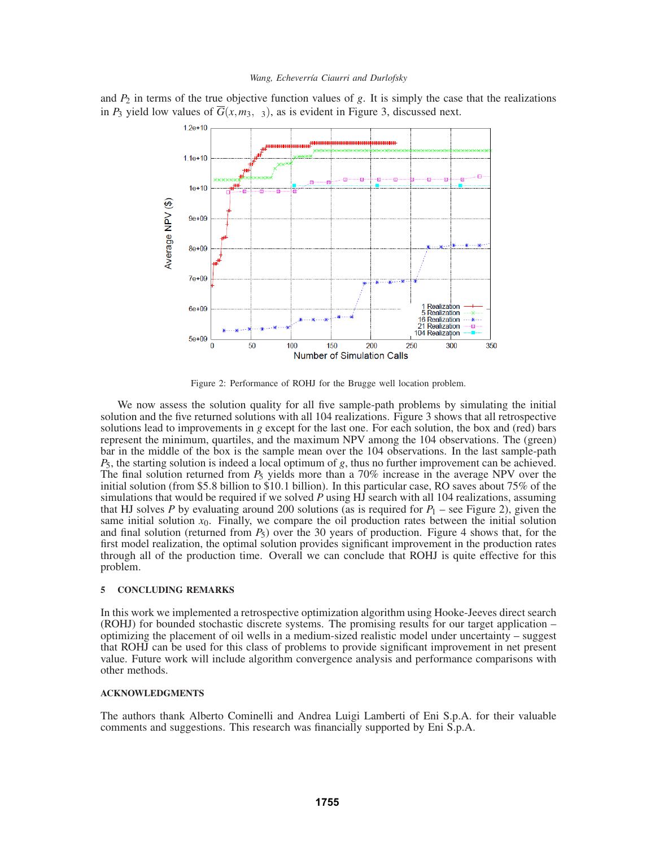#### *Wang, Echeverría Ciaurri and Durlofsky*

and  $P_2$  in terms of the true objective function values of  $g$ . It is simply the case that the realizations in *P*<sub>3</sub> yield low values of  $\overline{G}(x, m_3, \xi_3)$ , as is evident in Figure 3, discussed next.



Figure 2: Performance of ROHJ for the Brugge well location problem.

We now assess the solution quality for all five sample-path problems by simulating the initial solution and the five returned solutions with all 104 realizations. Figure 3 shows that all retrospective solutions lead to improvements in *g* except for the last one. For each solution, the box and (red) bars represent the minimum, quartiles, and the maximum NPV among the 104 observations. The (green) bar in the middle of the box is the sample mean over the 104 observations. In the last sample-path *P*5, the starting solution is indeed a local optimum of *g*, thus no further improvement can be achieved. The final solution returned from *P*<sup>5</sup> yields more than a 70% increase in the average NPV over the initial solution (from \$5.8 billion to \$10.1 billion). In this particular case, RO saves about 75% of the simulations that would be required if we solved *P* using HJ search with all 104 realizations, assuming that HJ solves *P* by evaluating around 200 solutions (as is required for  $P_1$  – see Figure 2), given the same initial solution  $x_0$ . Finally, we compare the oil production rates between the initial solution and final solution (returned from  $P_5$ ) over the 30 years of production. Figure 4 shows that, for the first model realization, the optimal solution provides significant improvement in the production rates through all of the production time. Overall we can conclude that ROHJ is quite effective for this problem.

## **5 CONCLUDING REMARKS**

In this work we implemented a retrospective optimization algorithm using Hooke-Jeeves direct search (ROHJ) for bounded stochastic discrete systems. The promising results for our target application – optimizing the placement of oil wells in a medium-sized realistic model under uncertainty – suggest that ROHJ can be used for this class of problems to provide significant improvement in net present value. Future work will include algorithm convergence analysis and performance comparisons with other methods.

## **ACKNOWLEDGMENTS**

The authors thank Alberto Cominelli and Andrea Luigi Lamberti of Eni S.p.A. for their valuable comments and suggestions. This research was financially supported by Eni S.p.A.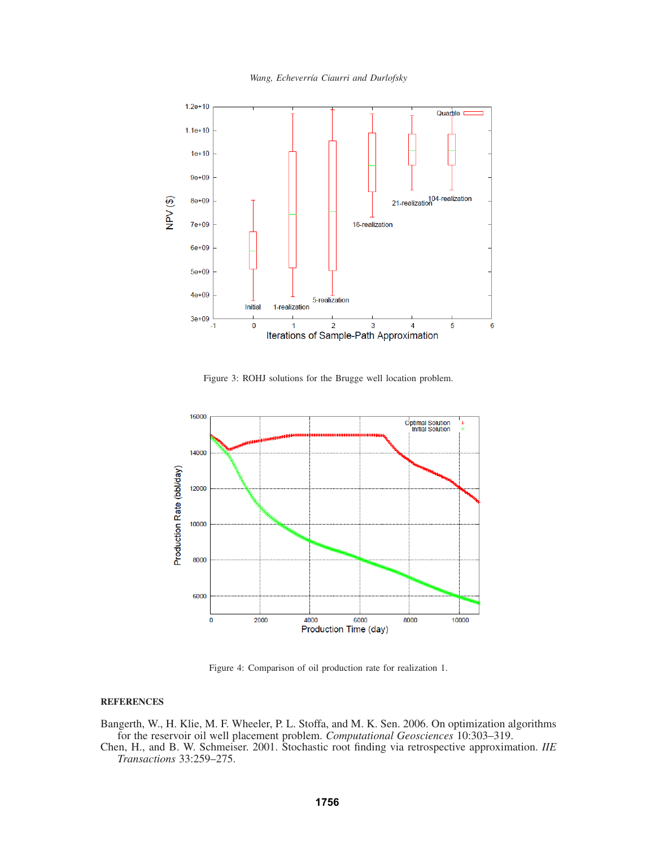*Wang, Echeverr´ıa Ciaurri and Durlofsky*



Figure 3: ROHJ solutions for the Brugge well location problem.



Figure 4: Comparison of oil production rate for realization 1.

## **REFERENCES**

Bangerth, W., H. Klie, M. F. Wheeler, P. L. Stoffa, and M. K. Sen. 2006. On optimization algorithms for the reservoir oil well placement problem. *Computational Geosciences* 10:303–319.

Chen, H., and B. W. Schmeiser. 2001. Stochastic root finding via retrospective approximation. *IIE Transactions* 33:259–275.